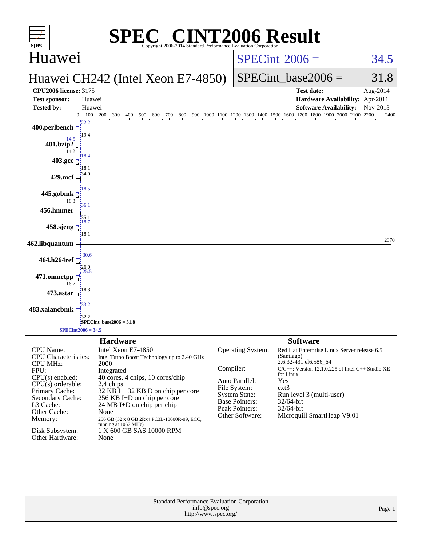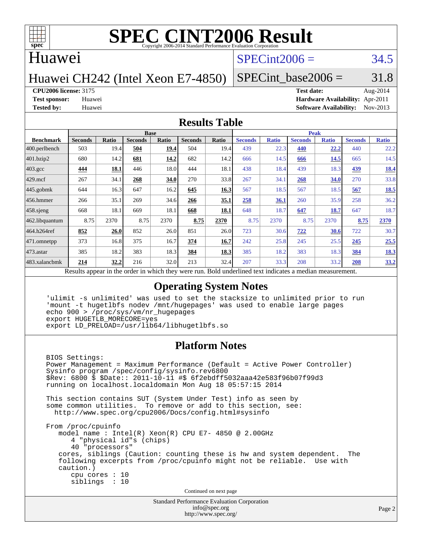

### Huawei

## $SPECint2006 = 34.5$  $SPECint2006 = 34.5$

Huawei CH242 (Intel Xeon E7-4850)

### SPECint base2006 =  $31.8$

### **[CPU2006 license:](http://www.spec.org/auto/cpu2006/Docs/result-fields.html#CPU2006license)** 3175 **[Test date:](http://www.spec.org/auto/cpu2006/Docs/result-fields.html#Testdate)** Aug-2014

**[Test sponsor:](http://www.spec.org/auto/cpu2006/Docs/result-fields.html#Testsponsor)** Huawei **[Hardware Availability:](http://www.spec.org/auto/cpu2006/Docs/result-fields.html#HardwareAvailability)** Apr-2011 **[Tested by:](http://www.spec.org/auto/cpu2006/Docs/result-fields.html#Testedby)** Huawei **[Software Availability:](http://www.spec.org/auto/cpu2006/Docs/result-fields.html#SoftwareAvailability)** Nov-2013

### **[Results Table](http://www.spec.org/auto/cpu2006/Docs/result-fields.html#ResultsTable)**

|                                                                                                           | <b>Base</b>    |             |                |       |                |       | <b>Peak</b>    |              |                |              |                |              |
|-----------------------------------------------------------------------------------------------------------|----------------|-------------|----------------|-------|----------------|-------|----------------|--------------|----------------|--------------|----------------|--------------|
| <b>Benchmark</b>                                                                                          | <b>Seconds</b> | Ratio       | <b>Seconds</b> | Ratio | <b>Seconds</b> | Ratio | <b>Seconds</b> | <b>Ratio</b> | <b>Seconds</b> | <b>Ratio</b> | <b>Seconds</b> | <b>Ratio</b> |
| $ 400$ .perlbench                                                                                         | 503            | 19.4        | 504            | 19.4  | 504            | 19.4  | 439            | 22.3         | 440            | 22.2         | 440            | 22.2         |
| 401.bzip2                                                                                                 | 680            | 14.2        | 681            | 14.2  | 682            | 14.2  | 666            | 14.5         | 666            | 14.5         | 665            | 14.5         |
| $403.\mathrm{gcc}$                                                                                        | 444            | <b>18.1</b> | 446            | 18.0  | 444            | 18.1  | 438            | 18.4         | 439            | 18.3         | 439            | 18.4         |
| $429$ .mcf                                                                                                | 267            | 34.1        | 268            | 34.0  | 270            | 33.8  | 267            | 34.1         | 268            | 34.0         | 270            | 33.8         |
| $445$ .gobmk                                                                                              | 644            | 16.3        | 647            | 16.2  | 645            | 16.3  | 567            | 18.5         | 567            | 18.5         | 567            | <u>18.5</u>  |
| $456.$ hmmer                                                                                              | 266            | 35.1        | 269            | 34.6  | 266            | 35.1  | 258            | 36.1         | 260            | 35.9         | 258            | 36.2         |
| $458$ .sjeng                                                                                              | 668            | 18.1        | 669            | 18.1  | 668            | 18.1  | 648            | 18.7         | 647            | 18.7         | 647            | 18.7         |
| 462.libquantum                                                                                            | 8.75           | 2370        | 8.75           | 2370  | 8.75           | 2370  | 8.75           | 2370         | 8.75           | 2370         | 8.75           | 2370         |
| 464.h264ref                                                                                               | 852            | 26.0        | 852            | 26.0  | 851            | 26.0  | 723            | 30.6         | 722            | 30.6         | 722            | 30.7         |
| 471.omnetpp                                                                                               | 373            | 16.8        | 375            | 16.7  | 374            | 16.7  | 242            | 25.8         | 245            | 25.5         | 245            | 25.5         |
| 473.astar                                                                                                 | 385            | 18.2        | 383            | 18.3  | 384            | 18.3  | 385            | 18.2         | 383            | 18.3         | 384            | <u>18.3</u>  |
| 483.xalancbmk                                                                                             | 214            | 32.2        | 216            | 32.0  | 213            | 32.4  | 207            | 33.3         | 208            | 33.2         | 208            | 33.2         |
| Decute conceal in the order in which they were mun<br>Dold underlined text indicates a madien measurement |                |             |                |       |                |       |                |              |                |              |                |              |

Results appear in the [order in which they were run.](http://www.spec.org/auto/cpu2006/Docs/result-fields.html#RunOrder) Bold underlined text [indicates a median measurement.](http://www.spec.org/auto/cpu2006/Docs/result-fields.html#Median)

### **[Operating System Notes](http://www.spec.org/auto/cpu2006/Docs/result-fields.html#OperatingSystemNotes)**

 'ulimit -s unlimited' was used to set the stacksize to unlimited prior to run 'mount -t hugetlbfs nodev /mnt/hugepages' was used to enable large pages echo 900 > /proc/sys/vm/nr\_hugepages export HUGETLB\_MORECORE=yes export LD\_PRELOAD=/usr/lib64/libhugetlbfs.so

### **[Platform Notes](http://www.spec.org/auto/cpu2006/Docs/result-fields.html#PlatformNotes)**

 BIOS Settings: Power Management = Maximum Performance (Default = Active Power Controller) Sysinfo program /spec/config/sysinfo.rev6800 \$Rev: 6800 \$ \$Date:: 2011-10-11 #\$ 6f2ebdff5032aaa42e583f96b07f99d3 running on localhost.localdomain Mon Aug 18 05:57:15 2014 This section contains SUT (System Under Test) info as seen by some common utilities. To remove or add to this section, see: <http://www.spec.org/cpu2006/Docs/config.html#sysinfo> From /proc/cpuinfo model name : Intel(R) Xeon(R) CPU E7- 4850 @ 2.00GHz 4 "physical id"s (chips) 40 "processors" cores, siblings (Caution: counting these is hw and system dependent. The following excerpts from /proc/cpuinfo might not be reliable. Use with caution.) cpu cores : 10 siblings : 10

Continued on next page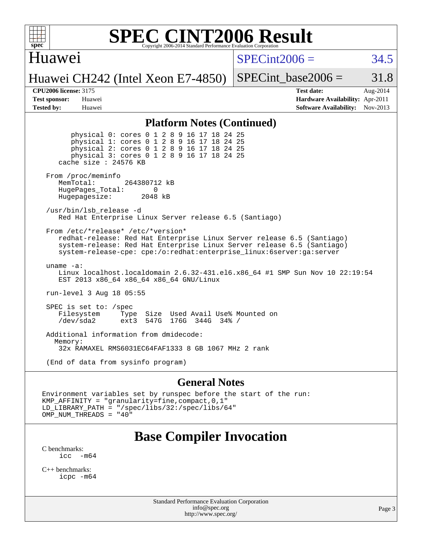

### Huawei

 $SPECint2006 = 34.5$  $SPECint2006 = 34.5$ 

Huawei CH242 (Intel Xeon E7-4850)

SPECint base2006 =  $31.8$ 

**[CPU2006 license:](http://www.spec.org/auto/cpu2006/Docs/result-fields.html#CPU2006license)** 3175 **[Test date:](http://www.spec.org/auto/cpu2006/Docs/result-fields.html#Testdate)** Aug-2014 **[Test sponsor:](http://www.spec.org/auto/cpu2006/Docs/result-fields.html#Testsponsor)** Huawei **[Hardware Availability:](http://www.spec.org/auto/cpu2006/Docs/result-fields.html#HardwareAvailability)** Apr-2011 **[Tested by:](http://www.spec.org/auto/cpu2006/Docs/result-fields.html#Testedby)** Huawei **[Software Availability:](http://www.spec.org/auto/cpu2006/Docs/result-fields.html#SoftwareAvailability)** Nov-2013

### **[Platform Notes \(Continued\)](http://www.spec.org/auto/cpu2006/Docs/result-fields.html#PlatformNotes)**

 physical 0: cores 0 1 2 8 9 16 17 18 24 25 physical 1: cores 0 1 2 8 9 16 17 18 24 25 physical 2: cores 0 1 2 8 9 16 17 18 24 25 physical 3: cores 0 1 2 8 9 16 17 18 24 25 cache size : 24576 KB From /proc/meminfo MemTotal: 264380712 kB HugePages\_Total: 0<br>Hugepagesize: 2048 kB Hugepagesize: /usr/bin/lsb\_release -d Red Hat Enterprise Linux Server release 6.5 (Santiago) From /etc/\*release\* /etc/\*version\* redhat-release: Red Hat Enterprise Linux Server release 6.5 (Santiago) system-release: Red Hat Enterprise Linux Server release 6.5 (Santiago) system-release-cpe: cpe:/o:redhat:enterprise\_linux:6server:ga:server uname -a: Linux localhost.localdomain 2.6.32-431.el6.x86\_64 #1 SMP Sun Nov 10 22:19:54 EST 2013 x86\_64 x86\_64 x86\_64 GNU/Linux run-level 3 Aug 18 05:55 SPEC is set to: /spec Filesystem Type Size Used Avail Use% Mounted on /dev/sda2 ext3 547G 176G 344G 34% / Additional information from dmidecode: Memory: 32x RAMAXEL RMS6031EC64FAF1333 8 GB 1067 MHz 2 rank

(End of data from sysinfo program)

### **[General Notes](http://www.spec.org/auto/cpu2006/Docs/result-fields.html#GeneralNotes)**

Environment variables set by runspec before the start of the run: KMP\_AFFINITY = "granularity=fine,compact,0,1" LD\_LIBRARY\_PATH = "/spec/libs/32:/spec/libs/64" OMP\_NUM\_THREADS = "40"

## **[Base Compiler Invocation](http://www.spec.org/auto/cpu2006/Docs/result-fields.html#BaseCompilerInvocation)**

[C benchmarks](http://www.spec.org/auto/cpu2006/Docs/result-fields.html#Cbenchmarks):  $\text{icc}$   $-\text{m64}$ 

[C++ benchmarks:](http://www.spec.org/auto/cpu2006/Docs/result-fields.html#CXXbenchmarks) [icpc -m64](http://www.spec.org/cpu2006/results/res2014q3/cpu2006-20140903-31180.flags.html#user_CXXbase_intel_icpc_64bit_fc66a5337ce925472a5c54ad6a0de310)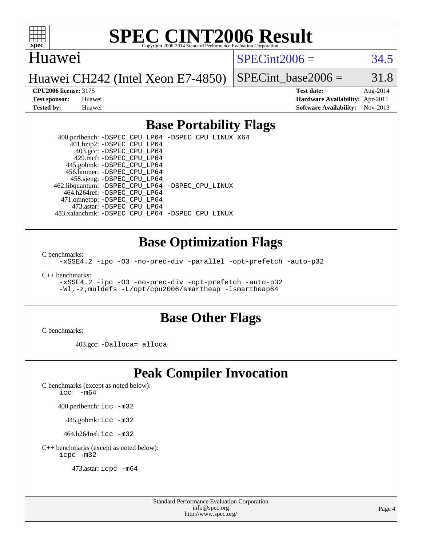

### Huawei

 $SPECint2006 = 34.5$  $SPECint2006 = 34.5$ 

Huawei CH242 (Intel Xeon E7-4850)

SPECint base2006 =  $31.8$ 

**[CPU2006 license:](http://www.spec.org/auto/cpu2006/Docs/result-fields.html#CPU2006license)** 3175 **[Test date:](http://www.spec.org/auto/cpu2006/Docs/result-fields.html#Testdate)** Aug-2014 **[Test sponsor:](http://www.spec.org/auto/cpu2006/Docs/result-fields.html#Testsponsor)** Huawei **[Hardware Availability:](http://www.spec.org/auto/cpu2006/Docs/result-fields.html#HardwareAvailability)** Apr-2011 **[Tested by:](http://www.spec.org/auto/cpu2006/Docs/result-fields.html#Testedby)** Huawei **[Software Availability:](http://www.spec.org/auto/cpu2006/Docs/result-fields.html#SoftwareAvailability)** Nov-2013

### **[Base Portability Flags](http://www.spec.org/auto/cpu2006/Docs/result-fields.html#BasePortabilityFlags)**

 400.perlbench: [-DSPEC\\_CPU\\_LP64](http://www.spec.org/cpu2006/results/res2014q3/cpu2006-20140903-31180.flags.html#b400.perlbench_basePORTABILITY_DSPEC_CPU_LP64) [-DSPEC\\_CPU\\_LINUX\\_X64](http://www.spec.org/cpu2006/results/res2014q3/cpu2006-20140903-31180.flags.html#b400.perlbench_baseCPORTABILITY_DSPEC_CPU_LINUX_X64) 401.bzip2: [-DSPEC\\_CPU\\_LP64](http://www.spec.org/cpu2006/results/res2014q3/cpu2006-20140903-31180.flags.html#suite_basePORTABILITY401_bzip2_DSPEC_CPU_LP64) 403.gcc: [-DSPEC\\_CPU\\_LP64](http://www.spec.org/cpu2006/results/res2014q3/cpu2006-20140903-31180.flags.html#suite_basePORTABILITY403_gcc_DSPEC_CPU_LP64) 429.mcf: [-DSPEC\\_CPU\\_LP64](http://www.spec.org/cpu2006/results/res2014q3/cpu2006-20140903-31180.flags.html#suite_basePORTABILITY429_mcf_DSPEC_CPU_LP64) 445.gobmk: [-DSPEC\\_CPU\\_LP64](http://www.spec.org/cpu2006/results/res2014q3/cpu2006-20140903-31180.flags.html#suite_basePORTABILITY445_gobmk_DSPEC_CPU_LP64) 456.hmmer: [-DSPEC\\_CPU\\_LP64](http://www.spec.org/cpu2006/results/res2014q3/cpu2006-20140903-31180.flags.html#suite_basePORTABILITY456_hmmer_DSPEC_CPU_LP64) 458.sjeng: [-DSPEC\\_CPU\\_LP64](http://www.spec.org/cpu2006/results/res2014q3/cpu2006-20140903-31180.flags.html#suite_basePORTABILITY458_sjeng_DSPEC_CPU_LP64) 462.libquantum: [-DSPEC\\_CPU\\_LP64](http://www.spec.org/cpu2006/results/res2014q3/cpu2006-20140903-31180.flags.html#suite_basePORTABILITY462_libquantum_DSPEC_CPU_LP64) [-DSPEC\\_CPU\\_LINUX](http://www.spec.org/cpu2006/results/res2014q3/cpu2006-20140903-31180.flags.html#b462.libquantum_baseCPORTABILITY_DSPEC_CPU_LINUX) 464.h264ref: [-DSPEC\\_CPU\\_LP64](http://www.spec.org/cpu2006/results/res2014q3/cpu2006-20140903-31180.flags.html#suite_basePORTABILITY464_h264ref_DSPEC_CPU_LP64) 471.omnetpp: [-DSPEC\\_CPU\\_LP64](http://www.spec.org/cpu2006/results/res2014q3/cpu2006-20140903-31180.flags.html#suite_basePORTABILITY471_omnetpp_DSPEC_CPU_LP64) 473.astar: [-DSPEC\\_CPU\\_LP64](http://www.spec.org/cpu2006/results/res2014q3/cpu2006-20140903-31180.flags.html#suite_basePORTABILITY473_astar_DSPEC_CPU_LP64) 483.xalancbmk: [-DSPEC\\_CPU\\_LP64](http://www.spec.org/cpu2006/results/res2014q3/cpu2006-20140903-31180.flags.html#suite_basePORTABILITY483_xalancbmk_DSPEC_CPU_LP64) [-DSPEC\\_CPU\\_LINUX](http://www.spec.org/cpu2006/results/res2014q3/cpu2006-20140903-31180.flags.html#b483.xalancbmk_baseCXXPORTABILITY_DSPEC_CPU_LINUX)

### **[Base Optimization Flags](http://www.spec.org/auto/cpu2006/Docs/result-fields.html#BaseOptimizationFlags)**

[C benchmarks](http://www.spec.org/auto/cpu2006/Docs/result-fields.html#Cbenchmarks):

[-xSSE4.2](http://www.spec.org/cpu2006/results/res2014q3/cpu2006-20140903-31180.flags.html#user_CCbase_f-xSSE42_f91528193cf0b216347adb8b939d4107) [-ipo](http://www.spec.org/cpu2006/results/res2014q3/cpu2006-20140903-31180.flags.html#user_CCbase_f-ipo) [-O3](http://www.spec.org/cpu2006/results/res2014q3/cpu2006-20140903-31180.flags.html#user_CCbase_f-O3) [-no-prec-div](http://www.spec.org/cpu2006/results/res2014q3/cpu2006-20140903-31180.flags.html#user_CCbase_f-no-prec-div) [-parallel](http://www.spec.org/cpu2006/results/res2014q3/cpu2006-20140903-31180.flags.html#user_CCbase_f-parallel) [-opt-prefetch](http://www.spec.org/cpu2006/results/res2014q3/cpu2006-20140903-31180.flags.html#user_CCbase_f-opt-prefetch) [-auto-p32](http://www.spec.org/cpu2006/results/res2014q3/cpu2006-20140903-31180.flags.html#user_CCbase_f-auto-p32)

[C++ benchmarks:](http://www.spec.org/auto/cpu2006/Docs/result-fields.html#CXXbenchmarks)

[-xSSE4.2](http://www.spec.org/cpu2006/results/res2014q3/cpu2006-20140903-31180.flags.html#user_CXXbase_f-xSSE42_f91528193cf0b216347adb8b939d4107) [-ipo](http://www.spec.org/cpu2006/results/res2014q3/cpu2006-20140903-31180.flags.html#user_CXXbase_f-ipo) [-O3](http://www.spec.org/cpu2006/results/res2014q3/cpu2006-20140903-31180.flags.html#user_CXXbase_f-O3) [-no-prec-div](http://www.spec.org/cpu2006/results/res2014q3/cpu2006-20140903-31180.flags.html#user_CXXbase_f-no-prec-div) [-opt-prefetch](http://www.spec.org/cpu2006/results/res2014q3/cpu2006-20140903-31180.flags.html#user_CXXbase_f-opt-prefetch) [-auto-p32](http://www.spec.org/cpu2006/results/res2014q3/cpu2006-20140903-31180.flags.html#user_CXXbase_f-auto-p32) [-Wl,-z,muldefs](http://www.spec.org/cpu2006/results/res2014q3/cpu2006-20140903-31180.flags.html#user_CXXbase_link_force_multiple1_74079c344b956b9658436fd1b6dd3a8a) [-L/opt/cpu2006/smartheap -lsmartheap64](http://www.spec.org/cpu2006/results/res2014q3/cpu2006-20140903-31180.flags.html#user_CXXbase_SmartHeap64_70a5017c4792da725e15df1968fa1b59)

### **[Base Other Flags](http://www.spec.org/auto/cpu2006/Docs/result-fields.html#BaseOtherFlags)**

[C benchmarks](http://www.spec.org/auto/cpu2006/Docs/result-fields.html#Cbenchmarks):

403.gcc: [-Dalloca=\\_alloca](http://www.spec.org/cpu2006/results/res2014q3/cpu2006-20140903-31180.flags.html#b403.gcc_baseEXTRA_CFLAGS_Dalloca_be3056838c12de2578596ca5467af7f3)

## **[Peak Compiler Invocation](http://www.spec.org/auto/cpu2006/Docs/result-fields.html#PeakCompilerInvocation)**

[C benchmarks \(except as noted below\)](http://www.spec.org/auto/cpu2006/Docs/result-fields.html#Cbenchmarksexceptasnotedbelow):

icc  $-m64$ 

400.perlbench: [icc -m32](http://www.spec.org/cpu2006/results/res2014q3/cpu2006-20140903-31180.flags.html#user_peakCCLD400_perlbench_intel_icc_a6a621f8d50482236b970c6ac5f55f93)

445.gobmk: [icc -m32](http://www.spec.org/cpu2006/results/res2014q3/cpu2006-20140903-31180.flags.html#user_peakCCLD445_gobmk_intel_icc_a6a621f8d50482236b970c6ac5f55f93)

464.h264ref: [icc -m32](http://www.spec.org/cpu2006/results/res2014q3/cpu2006-20140903-31180.flags.html#user_peakCCLD464_h264ref_intel_icc_a6a621f8d50482236b970c6ac5f55f93)

[C++ benchmarks \(except as noted below\):](http://www.spec.org/auto/cpu2006/Docs/result-fields.html#CXXbenchmarksexceptasnotedbelow) [icpc -m32](http://www.spec.org/cpu2006/results/res2014q3/cpu2006-20140903-31180.flags.html#user_CXXpeak_intel_icpc_4e5a5ef1a53fd332b3c49e69c3330699)

473.astar: [icpc -m64](http://www.spec.org/cpu2006/results/res2014q3/cpu2006-20140903-31180.flags.html#user_peakCXXLD473_astar_intel_icpc_64bit_fc66a5337ce925472a5c54ad6a0de310)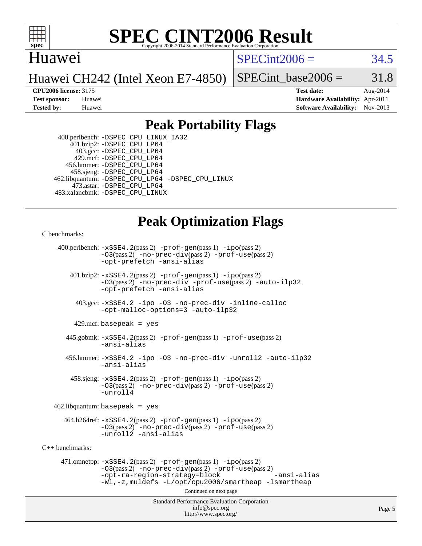

### Huawei

 $SPECint2006 = 34.5$  $SPECint2006 = 34.5$ 

Huawei CH242 (Intel Xeon E7-4850)

SPECint base2006 =  $31.8$ 

**[CPU2006 license:](http://www.spec.org/auto/cpu2006/Docs/result-fields.html#CPU2006license)** 3175 **[Test date:](http://www.spec.org/auto/cpu2006/Docs/result-fields.html#Testdate)** Aug-2014 **[Test sponsor:](http://www.spec.org/auto/cpu2006/Docs/result-fields.html#Testsponsor)** Huawei **[Hardware Availability:](http://www.spec.org/auto/cpu2006/Docs/result-fields.html#HardwareAvailability)** Apr-2011 **[Tested by:](http://www.spec.org/auto/cpu2006/Docs/result-fields.html#Testedby)** Huawei **[Software Availability:](http://www.spec.org/auto/cpu2006/Docs/result-fields.html#SoftwareAvailability)** Nov-2013

## **[Peak Portability Flags](http://www.spec.org/auto/cpu2006/Docs/result-fields.html#PeakPortabilityFlags)**

 400.perlbench: [-DSPEC\\_CPU\\_LINUX\\_IA32](http://www.spec.org/cpu2006/results/res2014q3/cpu2006-20140903-31180.flags.html#b400.perlbench_peakCPORTABILITY_DSPEC_CPU_LINUX_IA32) 401.bzip2: [-DSPEC\\_CPU\\_LP64](http://www.spec.org/cpu2006/results/res2014q3/cpu2006-20140903-31180.flags.html#suite_peakPORTABILITY401_bzip2_DSPEC_CPU_LP64) 403.gcc: [-DSPEC\\_CPU\\_LP64](http://www.spec.org/cpu2006/results/res2014q3/cpu2006-20140903-31180.flags.html#suite_peakPORTABILITY403_gcc_DSPEC_CPU_LP64) 429.mcf: [-DSPEC\\_CPU\\_LP64](http://www.spec.org/cpu2006/results/res2014q3/cpu2006-20140903-31180.flags.html#suite_peakPORTABILITY429_mcf_DSPEC_CPU_LP64) 456.hmmer: [-DSPEC\\_CPU\\_LP64](http://www.spec.org/cpu2006/results/res2014q3/cpu2006-20140903-31180.flags.html#suite_peakPORTABILITY456_hmmer_DSPEC_CPU_LP64) 458.sjeng: [-DSPEC\\_CPU\\_LP64](http://www.spec.org/cpu2006/results/res2014q3/cpu2006-20140903-31180.flags.html#suite_peakPORTABILITY458_sjeng_DSPEC_CPU_LP64) 462.libquantum: [-DSPEC\\_CPU\\_LP64](http://www.spec.org/cpu2006/results/res2014q3/cpu2006-20140903-31180.flags.html#suite_peakPORTABILITY462_libquantum_DSPEC_CPU_LP64) [-DSPEC\\_CPU\\_LINUX](http://www.spec.org/cpu2006/results/res2014q3/cpu2006-20140903-31180.flags.html#b462.libquantum_peakCPORTABILITY_DSPEC_CPU_LINUX) 473.astar: [-DSPEC\\_CPU\\_LP64](http://www.spec.org/cpu2006/results/res2014q3/cpu2006-20140903-31180.flags.html#suite_peakPORTABILITY473_astar_DSPEC_CPU_LP64) 483.xalancbmk: [-DSPEC\\_CPU\\_LINUX](http://www.spec.org/cpu2006/results/res2014q3/cpu2006-20140903-31180.flags.html#b483.xalancbmk_peakCXXPORTABILITY_DSPEC_CPU_LINUX)

## **[Peak Optimization Flags](http://www.spec.org/auto/cpu2006/Docs/result-fields.html#PeakOptimizationFlags)**

```
C benchmarks:
```
 400.perlbench: [-xSSE4.2](http://www.spec.org/cpu2006/results/res2014q3/cpu2006-20140903-31180.flags.html#user_peakPASS2_CFLAGSPASS2_LDCFLAGS400_perlbench_f-xSSE42_f91528193cf0b216347adb8b939d4107)(pass 2) [-prof-gen](http://www.spec.org/cpu2006/results/res2014q3/cpu2006-20140903-31180.flags.html#user_peakPASS1_CFLAGSPASS1_LDCFLAGS400_perlbench_prof_gen_e43856698f6ca7b7e442dfd80e94a8fc)(pass 1) [-ipo](http://www.spec.org/cpu2006/results/res2014q3/cpu2006-20140903-31180.flags.html#user_peakPASS2_CFLAGSPASS2_LDCFLAGS400_perlbench_f-ipo)(pass 2) [-O3](http://www.spec.org/cpu2006/results/res2014q3/cpu2006-20140903-31180.flags.html#user_peakPASS2_CFLAGSPASS2_LDCFLAGS400_perlbench_f-O3)(pass 2) [-no-prec-div](http://www.spec.org/cpu2006/results/res2014q3/cpu2006-20140903-31180.flags.html#user_peakPASS2_CFLAGSPASS2_LDCFLAGS400_perlbench_f-no-prec-div)(pass 2) [-prof-use](http://www.spec.org/cpu2006/results/res2014q3/cpu2006-20140903-31180.flags.html#user_peakPASS2_CFLAGSPASS2_LDCFLAGS400_perlbench_prof_use_bccf7792157ff70d64e32fe3e1250b55)(pass 2) [-opt-prefetch](http://www.spec.org/cpu2006/results/res2014q3/cpu2006-20140903-31180.flags.html#user_peakCOPTIMIZE400_perlbench_f-opt-prefetch) [-ansi-alias](http://www.spec.org/cpu2006/results/res2014q3/cpu2006-20140903-31180.flags.html#user_peakCOPTIMIZE400_perlbench_f-ansi-alias) 401.bzip2: [-xSSE4.2](http://www.spec.org/cpu2006/results/res2014q3/cpu2006-20140903-31180.flags.html#user_peakPASS2_CFLAGSPASS2_LDCFLAGS401_bzip2_f-xSSE42_f91528193cf0b216347adb8b939d4107)(pass 2) [-prof-gen](http://www.spec.org/cpu2006/results/res2014q3/cpu2006-20140903-31180.flags.html#user_peakPASS1_CFLAGSPASS1_LDCFLAGS401_bzip2_prof_gen_e43856698f6ca7b7e442dfd80e94a8fc)(pass 1) [-ipo](http://www.spec.org/cpu2006/results/res2014q3/cpu2006-20140903-31180.flags.html#user_peakPASS2_CFLAGSPASS2_LDCFLAGS401_bzip2_f-ipo)(pass 2) [-O3](http://www.spec.org/cpu2006/results/res2014q3/cpu2006-20140903-31180.flags.html#user_peakPASS2_CFLAGSPASS2_LDCFLAGS401_bzip2_f-O3)(pass 2) [-no-prec-div](http://www.spec.org/cpu2006/results/res2014q3/cpu2006-20140903-31180.flags.html#user_peakCOPTIMIZEPASS2_CFLAGSPASS2_LDCFLAGS401_bzip2_f-no-prec-div) [-prof-use](http://www.spec.org/cpu2006/results/res2014q3/cpu2006-20140903-31180.flags.html#user_peakPASS2_CFLAGSPASS2_LDCFLAGS401_bzip2_prof_use_bccf7792157ff70d64e32fe3e1250b55)(pass 2) [-auto-ilp32](http://www.spec.org/cpu2006/results/res2014q3/cpu2006-20140903-31180.flags.html#user_peakCOPTIMIZE401_bzip2_f-auto-ilp32) [-opt-prefetch](http://www.spec.org/cpu2006/results/res2014q3/cpu2006-20140903-31180.flags.html#user_peakCOPTIMIZE401_bzip2_f-opt-prefetch) [-ansi-alias](http://www.spec.org/cpu2006/results/res2014q3/cpu2006-20140903-31180.flags.html#user_peakCOPTIMIZE401_bzip2_f-ansi-alias) 403.gcc: [-xSSE4.2](http://www.spec.org/cpu2006/results/res2014q3/cpu2006-20140903-31180.flags.html#user_peakCOPTIMIZE403_gcc_f-xSSE42_f91528193cf0b216347adb8b939d4107) [-ipo](http://www.spec.org/cpu2006/results/res2014q3/cpu2006-20140903-31180.flags.html#user_peakCOPTIMIZE403_gcc_f-ipo) [-O3](http://www.spec.org/cpu2006/results/res2014q3/cpu2006-20140903-31180.flags.html#user_peakCOPTIMIZE403_gcc_f-O3) [-no-prec-div](http://www.spec.org/cpu2006/results/res2014q3/cpu2006-20140903-31180.flags.html#user_peakCOPTIMIZE403_gcc_f-no-prec-div) [-inline-calloc](http://www.spec.org/cpu2006/results/res2014q3/cpu2006-20140903-31180.flags.html#user_peakCOPTIMIZE403_gcc_f-inline-calloc) [-opt-malloc-options=3](http://www.spec.org/cpu2006/results/res2014q3/cpu2006-20140903-31180.flags.html#user_peakCOPTIMIZE403_gcc_f-opt-malloc-options_13ab9b803cf986b4ee62f0a5998c2238) [-auto-ilp32](http://www.spec.org/cpu2006/results/res2014q3/cpu2006-20140903-31180.flags.html#user_peakCOPTIMIZE403_gcc_f-auto-ilp32)  $429$ .mcf: basepeak = yes 445.gobmk: [-xSSE4.2](http://www.spec.org/cpu2006/results/res2014q3/cpu2006-20140903-31180.flags.html#user_peakPASS2_CFLAGSPASS2_LDCFLAGS445_gobmk_f-xSSE42_f91528193cf0b216347adb8b939d4107)(pass 2) [-prof-gen](http://www.spec.org/cpu2006/results/res2014q3/cpu2006-20140903-31180.flags.html#user_peakPASS1_CFLAGSPASS1_LDCFLAGS445_gobmk_prof_gen_e43856698f6ca7b7e442dfd80e94a8fc)(pass 1) [-prof-use](http://www.spec.org/cpu2006/results/res2014q3/cpu2006-20140903-31180.flags.html#user_peakPASS2_CFLAGSPASS2_LDCFLAGS445_gobmk_prof_use_bccf7792157ff70d64e32fe3e1250b55)(pass 2) [-ansi-alias](http://www.spec.org/cpu2006/results/res2014q3/cpu2006-20140903-31180.flags.html#user_peakCOPTIMIZE445_gobmk_f-ansi-alias) 456.hmmer: [-xSSE4.2](http://www.spec.org/cpu2006/results/res2014q3/cpu2006-20140903-31180.flags.html#user_peakCOPTIMIZE456_hmmer_f-xSSE42_f91528193cf0b216347adb8b939d4107) [-ipo](http://www.spec.org/cpu2006/results/res2014q3/cpu2006-20140903-31180.flags.html#user_peakCOPTIMIZE456_hmmer_f-ipo) [-O3](http://www.spec.org/cpu2006/results/res2014q3/cpu2006-20140903-31180.flags.html#user_peakCOPTIMIZE456_hmmer_f-O3) [-no-prec-div](http://www.spec.org/cpu2006/results/res2014q3/cpu2006-20140903-31180.flags.html#user_peakCOPTIMIZE456_hmmer_f-no-prec-div) [-unroll2](http://www.spec.org/cpu2006/results/res2014q3/cpu2006-20140903-31180.flags.html#user_peakCOPTIMIZE456_hmmer_f-unroll_784dae83bebfb236979b41d2422d7ec2) [-auto-ilp32](http://www.spec.org/cpu2006/results/res2014q3/cpu2006-20140903-31180.flags.html#user_peakCOPTIMIZE456_hmmer_f-auto-ilp32) [-ansi-alias](http://www.spec.org/cpu2006/results/res2014q3/cpu2006-20140903-31180.flags.html#user_peakCOPTIMIZE456_hmmer_f-ansi-alias) 458.sjeng: [-xSSE4.2](http://www.spec.org/cpu2006/results/res2014q3/cpu2006-20140903-31180.flags.html#user_peakPASS2_CFLAGSPASS2_LDCFLAGS458_sjeng_f-xSSE42_f91528193cf0b216347adb8b939d4107)(pass 2) [-prof-gen](http://www.spec.org/cpu2006/results/res2014q3/cpu2006-20140903-31180.flags.html#user_peakPASS1_CFLAGSPASS1_LDCFLAGS458_sjeng_prof_gen_e43856698f6ca7b7e442dfd80e94a8fc)(pass 1) [-ipo](http://www.spec.org/cpu2006/results/res2014q3/cpu2006-20140903-31180.flags.html#user_peakPASS2_CFLAGSPASS2_LDCFLAGS458_sjeng_f-ipo)(pass 2) [-O3](http://www.spec.org/cpu2006/results/res2014q3/cpu2006-20140903-31180.flags.html#user_peakPASS2_CFLAGSPASS2_LDCFLAGS458_sjeng_f-O3)(pass 2) [-no-prec-div](http://www.spec.org/cpu2006/results/res2014q3/cpu2006-20140903-31180.flags.html#user_peakPASS2_CFLAGSPASS2_LDCFLAGS458_sjeng_f-no-prec-div)(pass 2) [-prof-use](http://www.spec.org/cpu2006/results/res2014q3/cpu2006-20140903-31180.flags.html#user_peakPASS2_CFLAGSPASS2_LDCFLAGS458_sjeng_prof_use_bccf7792157ff70d64e32fe3e1250b55)(pass 2) [-unroll4](http://www.spec.org/cpu2006/results/res2014q3/cpu2006-20140903-31180.flags.html#user_peakCOPTIMIZE458_sjeng_f-unroll_4e5e4ed65b7fd20bdcd365bec371b81f)  $462$ .libquantum: basepeak = yes  $464.h264 \text{ref}: -x \text{SSE4}.2(\text{pass 2}) - \text{prof-qen}(\text{pass 1}) - \text{ipo}(\text{pass 2})$ [-O3](http://www.spec.org/cpu2006/results/res2014q3/cpu2006-20140903-31180.flags.html#user_peakPASS2_CFLAGSPASS2_LDCFLAGS464_h264ref_f-O3)(pass 2) [-no-prec-div](http://www.spec.org/cpu2006/results/res2014q3/cpu2006-20140903-31180.flags.html#user_peakPASS2_CFLAGSPASS2_LDCFLAGS464_h264ref_f-no-prec-div)(pass 2) [-prof-use](http://www.spec.org/cpu2006/results/res2014q3/cpu2006-20140903-31180.flags.html#user_peakPASS2_CFLAGSPASS2_LDCFLAGS464_h264ref_prof_use_bccf7792157ff70d64e32fe3e1250b55)(pass 2) [-unroll2](http://www.spec.org/cpu2006/results/res2014q3/cpu2006-20140903-31180.flags.html#user_peakCOPTIMIZE464_h264ref_f-unroll_784dae83bebfb236979b41d2422d7ec2) [-ansi-alias](http://www.spec.org/cpu2006/results/res2014q3/cpu2006-20140903-31180.flags.html#user_peakCOPTIMIZE464_h264ref_f-ansi-alias) [C++ benchmarks:](http://www.spec.org/auto/cpu2006/Docs/result-fields.html#CXXbenchmarks) 471.omnetpp: [-xSSE4.2](http://www.spec.org/cpu2006/results/res2014q3/cpu2006-20140903-31180.flags.html#user_peakPASS2_CXXFLAGSPASS2_LDCXXFLAGS471_omnetpp_f-xSSE42_f91528193cf0b216347adb8b939d4107)(pass 2) [-prof-gen](http://www.spec.org/cpu2006/results/res2014q3/cpu2006-20140903-31180.flags.html#user_peakPASS1_CXXFLAGSPASS1_LDCXXFLAGS471_omnetpp_prof_gen_e43856698f6ca7b7e442dfd80e94a8fc)(pass 1) [-ipo](http://www.spec.org/cpu2006/results/res2014q3/cpu2006-20140903-31180.flags.html#user_peakPASS2_CXXFLAGSPASS2_LDCXXFLAGS471_omnetpp_f-ipo)(pass 2) [-O3](http://www.spec.org/cpu2006/results/res2014q3/cpu2006-20140903-31180.flags.html#user_peakPASS2_CXXFLAGSPASS2_LDCXXFLAGS471_omnetpp_f-O3)(pass 2) [-no-prec-div](http://www.spec.org/cpu2006/results/res2014q3/cpu2006-20140903-31180.flags.html#user_peakPASS2_CXXFLAGSPASS2_LDCXXFLAGS471_omnetpp_f-no-prec-div)(pass 2) [-prof-use](http://www.spec.org/cpu2006/results/res2014q3/cpu2006-20140903-31180.flags.html#user_peakPASS2_CXXFLAGSPASS2_LDCXXFLAGS471_omnetpp_prof_use_bccf7792157ff70d64e32fe3e1250b55)(pass 2) [-opt-ra-region-strategy=block](http://www.spec.org/cpu2006/results/res2014q3/cpu2006-20140903-31180.flags.html#user_peakCXXOPTIMIZE471_omnetpp_f-opt-ra-region-strategy_5382940c29ea30302d682fc74bfe0147) [-ansi-alias](http://www.spec.org/cpu2006/results/res2014q3/cpu2006-20140903-31180.flags.html#user_peakCXXOPTIMIZE471_omnetpp_f-ansi-alias) [-Wl,-z,muldefs](http://www.spec.org/cpu2006/results/res2014q3/cpu2006-20140903-31180.flags.html#user_peakEXTRA_LDFLAGS471_omnetpp_link_force_multiple1_74079c344b956b9658436fd1b6dd3a8a) [-L/opt/cpu2006/smartheap -lsmartheap](http://www.spec.org/cpu2006/results/res2014q3/cpu2006-20140903-31180.flags.html#user_peakEXTRA_LIBS471_omnetpp_SmartHeap_2f852be89b2dfc2d41ebbacc6e6b7c8c) Continued on next page